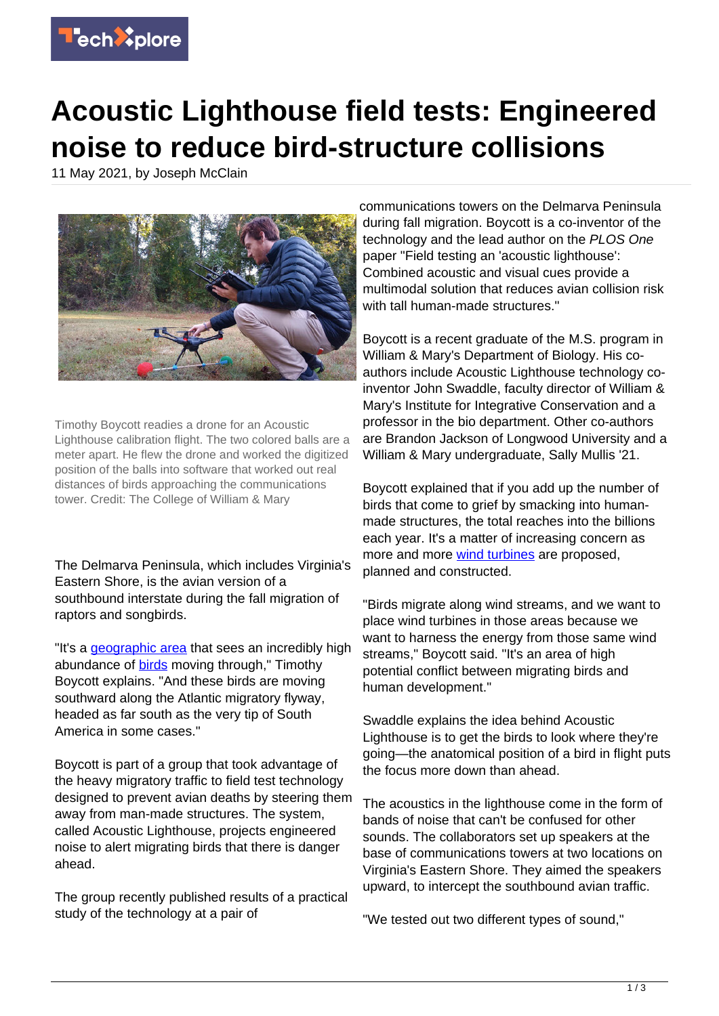

## **Acoustic Lighthouse field tests: Engineered noise to reduce bird-structure collisions**

11 May 2021, by Joseph McClain



Timothy Boycott readies a drone for an Acoustic Lighthouse calibration flight. The two colored balls are a meter apart. He flew the drone and worked the digitized position of the balls into software that worked out real distances of birds approaching the communications tower. Credit: The College of William & Mary

The Delmarva Peninsula, which includes Virginia's Eastern Shore, is the avian version of a southbound interstate during the fall migration of raptors and songbirds.

"It's a [geographic area](https://techxplore.com/tags/geographic+area/) that sees an incredibly high abundance of **birds** moving through," Timothy Boycott explains. "And these birds are moving southward along the Atlantic migratory flyway, headed as far south as the very tip of South America in some cases."

Boycott is part of a group that took advantage of the heavy migratory traffic to field test technology designed to prevent avian deaths by steering them away from man-made structures. The system, called Acoustic Lighthouse, projects engineered noise to alert migrating birds that there is danger ahead.

The group recently published results of a practical study of the technology at a pair of

communications towers on the Delmarva Peninsula during fall migration. Boycott is a co-inventor of the technology and the lead author on the PLOS One paper "Field testing an 'acoustic lighthouse': Combined acoustic and visual cues provide a multimodal solution that reduces avian collision risk with tall human-made structures."

Boycott is a recent graduate of the M.S. program in William & Mary's Department of Biology. His coauthors include Acoustic Lighthouse technology coinventor John Swaddle, faculty director of William & Mary's Institute for Integrative Conservation and a professor in the bio department. Other co-authors are Brandon Jackson of Longwood University and a William & Mary undergraduate, Sally Mullis '21.

Boycott explained that if you add up the number of birds that come to grief by smacking into humanmade structures, the total reaches into the billions each year. It's a matter of increasing concern as more and more [wind turbines](https://techxplore.com/tags/wind+turbines/) are proposed, planned and constructed.

"Birds migrate along wind streams, and we want to place wind turbines in those areas because we want to harness the energy from those same wind streams," Boycott said. "It's an area of high potential conflict between migrating birds and human development."

Swaddle explains the idea behind Acoustic Lighthouse is to get the birds to look where they're going—the anatomical position of a bird in flight puts the focus more down than ahead.

The acoustics in the lighthouse come in the form of bands of noise that can't be confused for other sounds. The collaborators set up speakers at the base of communications towers at two locations on Virginia's Eastern Shore. They aimed the speakers upward, to intercept the southbound avian traffic.

"We tested out two different types of sound,"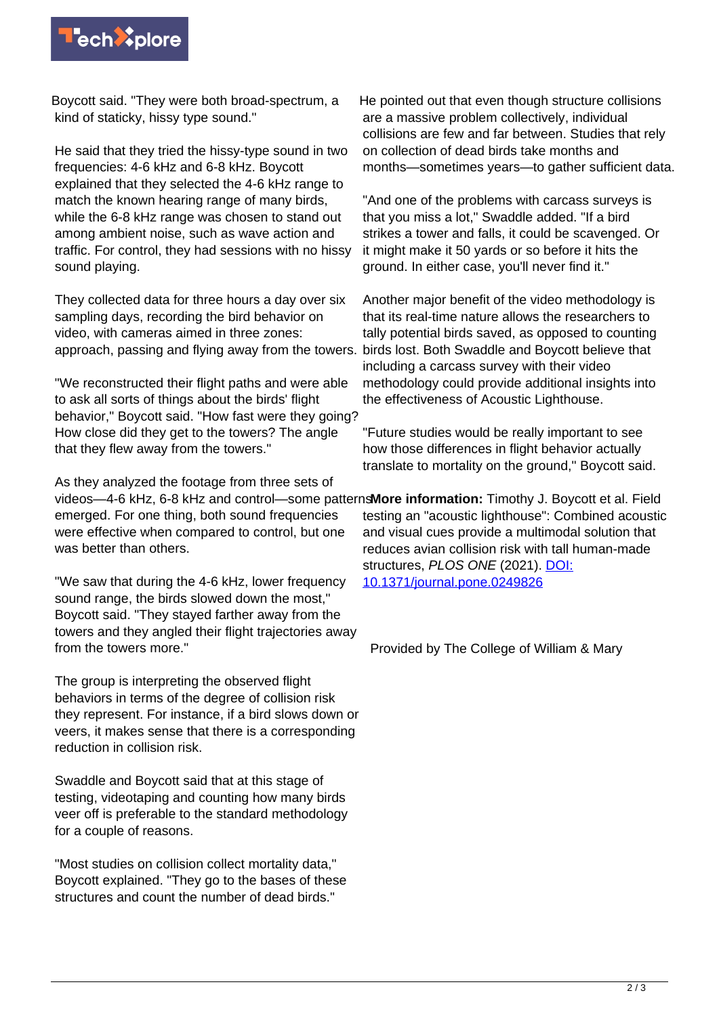

Boycott said. "They were both broad-spectrum, a kind of staticky, hissy type sound."

He said that they tried the hissy-type sound in two frequencies: 4-6 kHz and 6-8 kHz. Boycott explained that they selected the 4-6 kHz range to match the known hearing range of many birds, while the 6-8 kHz range was chosen to stand out among ambient noise, such as wave action and traffic. For control, they had sessions with no hissy sound playing.

They collected data for three hours a day over six sampling days, recording the bird behavior on video, with cameras aimed in three zones: approach, passing and flying away from the towers. birds lost. Both Swaddle and Boycott believe that

"We reconstructed their flight paths and were able to ask all sorts of things about the birds' flight behavior," Boycott said. "How fast were they going? How close did they get to the towers? The angle that they flew away from the towers."

As they analyzed the footage from three sets of emerged. For one thing, both sound frequencies were effective when compared to control, but one was better than others.

"We saw that during the 4-6 kHz, lower frequency sound range, the birds slowed down the most," Boycott said. "They stayed farther away from the towers and they angled their flight trajectories away from the towers more."

The group is interpreting the observed flight behaviors in terms of the degree of collision risk they represent. For instance, if a bird slows down or veers, it makes sense that there is a corresponding reduction in collision risk.

Swaddle and Boycott said that at this stage of testing, videotaping and counting how many birds veer off is preferable to the standard methodology for a couple of reasons.

"Most studies on collision collect mortality data," Boycott explained. "They go to the bases of these structures and count the number of dead birds."

He pointed out that even though structure collisions are a massive problem collectively, individual collisions are few and far between. Studies that rely on collection of dead birds take months and months—sometimes years—to gather sufficient data.

"And one of the problems with carcass surveys is that you miss a lot," Swaddle added. "If a bird strikes a tower and falls, it could be scavenged. Or it might make it 50 yards or so before it hits the ground. In either case, you'll never find it."

Another major benefit of the video methodology is that its real-time nature allows the researchers to tally potential birds saved, as opposed to counting including a carcass survey with their video methodology could provide additional insights into the effectiveness of Acoustic Lighthouse.

"Future studies would be really important to see how those differences in flight behavior actually translate to mortality on the ground," Boycott said.

videos—4-6 kHz, 6-8 kHz and control—some patterns **More information:** Timothy J. Boycott et al. Field testing an "acoustic lighthouse": Combined acoustic and visual cues provide a multimodal solution that reduces avian collision risk with tall human-made structures, PLOS ONE (2021). [DOI:](http://dx.doi.org/10.1371/journal.pone.0249826) [10.1371/journal.pone.0249826](http://dx.doi.org/10.1371/journal.pone.0249826)

Provided by The College of William & Mary